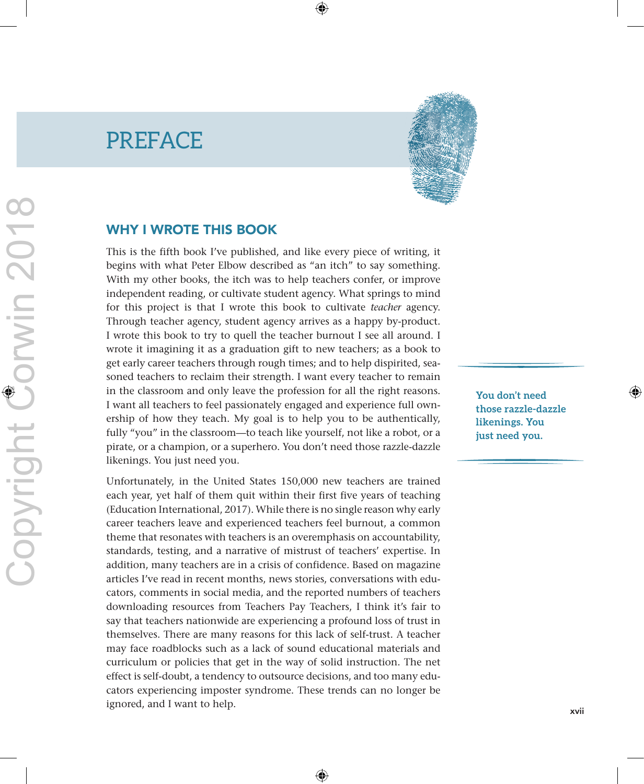# **PREFACE**



# WHY I WROTE THIS BOOK

This is the fifth book I've published, and like every piece of writing, it begins with what Peter Elbow described as "an itch" to say something. With my other books, the itch was to help teachers confer, or improve independent reading, or cultivate student agency. What springs to mind for this project is that I wrote this book to cultivate *teacher* agency. Through teacher agency, student agency arrives as a happy by-product. I wrote this book to try to quell the teacher burnout I see all around. I wrote it imagining it as a graduation gift to new teachers; as a book to get early career teachers through rough times; and to help dispirited, seasoned teachers to reclaim their strength. I want every teacher to remain in the classroom and only leave the profession for all the right reasons. I want all teachers to feel passionately engaged and experience full ownership of how they teach. My goal is to help you to be authentically, fully "you" in the classroom—to teach like yourself, not like a robot, or a pirate, or a champion, or a superhero. You don't need those razzle-dazzle likenings. You just need you.

 $\bigoplus$ 

Unfortunately, in the United States 150,000 new teachers are trained each year, yet half of them quit within their first five years of teaching (Education International, 2017). While there is no single reason why early career teachers leave and experienced teachers feel burnout, a common theme that resonates with teachers is an overemphasis on accountability, standards, testing, and a narrative of mistrust of teachers' expertise. In addition, many teachers are in a crisis of confidence. Based on magazine articles I've read in recent months, news stories, conversations with educators, comments in social media, and the reported numbers of teachers downloading resources from Teachers Pay Teachers, I think it's fair to say that teachers nationwide are experiencing a profound loss of trust in themselves. There are many reasons for this lack of self-trust. A teacher may face roadblocks such as a lack of sound educational materials and curriculum or policies that get in the way of solid instruction. The net effect is self-doubt, a tendency to outsource decisions, and too many educators experiencing imposter syndrome. These trends can no longer be ignored, and I want to help.

⊕

**You don't need those razzle-dazzle likenings. You just need you.**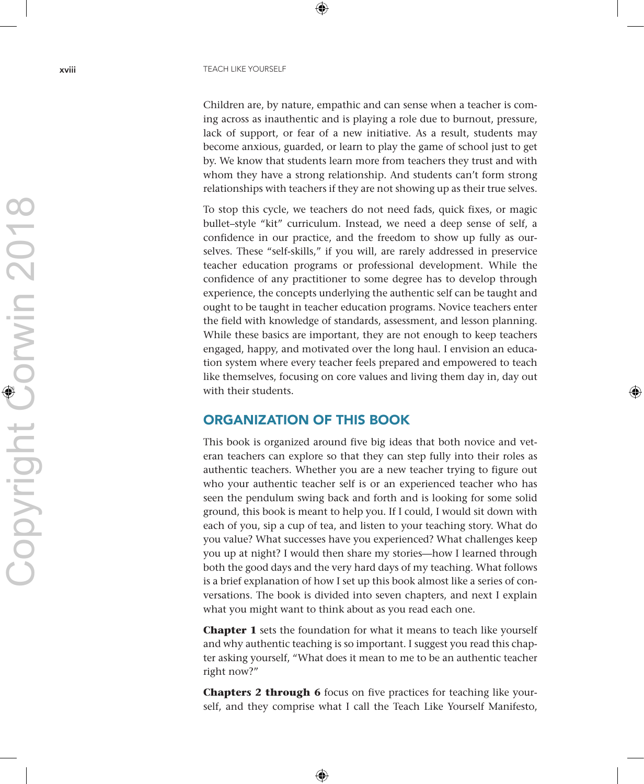xviii TEACH LIKE YOURSELF

Children are, by nature, empathic and can sense when a teacher is coming across as inauthentic and is playing a role due to burnout, pressure, lack of support, or fear of a new initiative. As a result, students may become anxious, guarded, or learn to play the game of school just to get by. We know that students learn more from teachers they trust and with whom they have a strong relationship. And students can't form strong relationships with teachers if they are not showing up as their true selves.

 $\bigoplus$ 

To stop this cycle, we teachers do not need fads, quick fixes, or magic bullet–style "kit" curriculum. Instead, we need a deep sense of self, a confidence in our practice, and the freedom to show up fully as ourselves. These "self-skills," if you will, are rarely addressed in preservice teacher education programs or professional development. While the confidence of any practitioner to some degree has to develop through experience, the concepts underlying the authentic self can be taught and ought to be taught in teacher education programs. Novice teachers enter the field with knowledge of standards, assessment, and lesson planning. While these basics are important, they are not enough to keep teachers engaged, happy, and motivated over the long haul. I envision an education system where every teacher feels prepared and empowered to teach like themselves, focusing on core values and living them day in, day out with their students.

⊕

# ORGANIZATION OF THIS BOOK

This book is organized around five big ideas that both novice and veteran teachers can explore so that they can step fully into their roles as authentic teachers. Whether you are a new teacher trying to figure out who your authentic teacher self is or an experienced teacher who has seen the pendulum swing back and forth and is looking for some solid ground, this book is meant to help you. If I could, I would sit down with each of you, sip a cup of tea, and listen to your teaching story. What do you value? What successes have you experienced? What challenges keep you up at night? I would then share my stories—how I learned through both the good days and the very hard days of my teaching. What follows is a brief explanation of how I set up this book almost like a series of conversations. The book is divided into seven chapters, and next I explain what you might want to think about as you read each one.

**Chapter 1** sets the foundation for what it means to teach like yourself and why authentic teaching is so important. I suggest you read this chapter asking yourself, "What does it mean to me to be an authentic teacher right now?"

**Chapters 2 through 6** focus on five practices for teaching like yourself, and they comprise what I call the Teach Like Yourself Manifesto,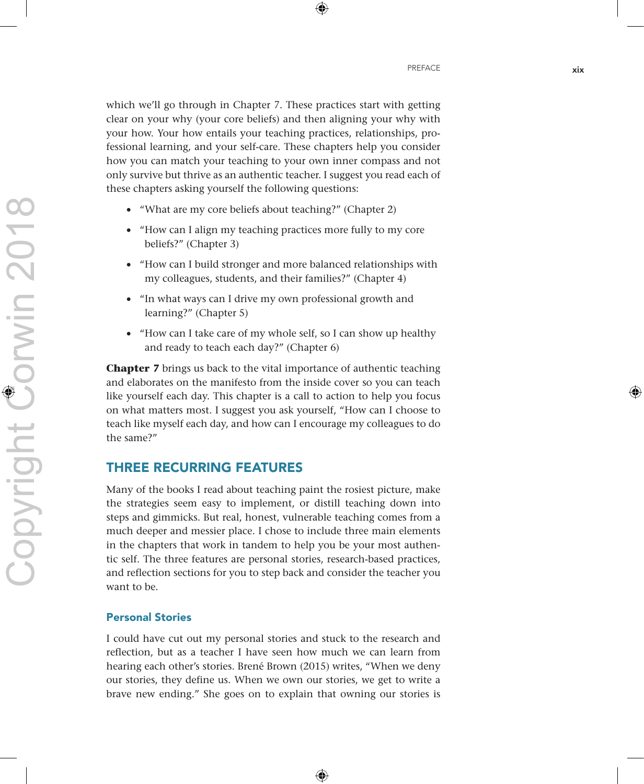which we'll go through in Chapter 7. These practices start with getting clear on your why (your core beliefs) and then aligning your why with your how. Your how entails your teaching practices, relationships, professional learning, and your self-care. These chapters help you consider how you can match your teaching to your own inner compass and not only survive but thrive as an authentic teacher. I suggest you read each of these chapters asking yourself the following questions:

 $\bigoplus$ 

- "What are my core beliefs about teaching?" (Chapter 2)
- "How can I align my teaching practices more fully to my core beliefs?" (Chapter 3)
- "How can I build stronger and more balanced relationships with my colleagues, students, and their families?" (Chapter 4)
- "In what ways can I drive my own professional growth and learning?" (Chapter 5)
- "How can I take care of my whole self, so I can show up healthy and ready to teach each day?" (Chapter 6)

**Chapter 7** brings us back to the vital importance of authentic teaching and elaborates on the manifesto from the inside cover so you can teach like yourself each day. This chapter is a call to action to help you focus on what matters most. I suggest you ask yourself, "How can I choose to teach like myself each day, and how can I encourage my colleagues to do the same?"

## THREE RECURRING FEATURES

Many of the books I read about teaching paint the rosiest picture, make the strategies seem easy to implement, or distill teaching down into steps and gimmicks. But real, honest, vulnerable teaching comes from a much deeper and messier place. I chose to include three main elements in the chapters that work in tandem to help you be your most authentic self. The three features are personal stories, research-based practices, and reflection sections for you to step back and consider the teacher you want to be.

## Personal Stories

I could have cut out my personal stories and stuck to the research and reflection, but as a teacher I have seen how much we can learn from hearing each other's stories. Brené Brown (2015) writes, "When we deny our stories, they define us. When we own our stories, we get to write a brave new ending." She goes on to explain that owning our stories is

⊕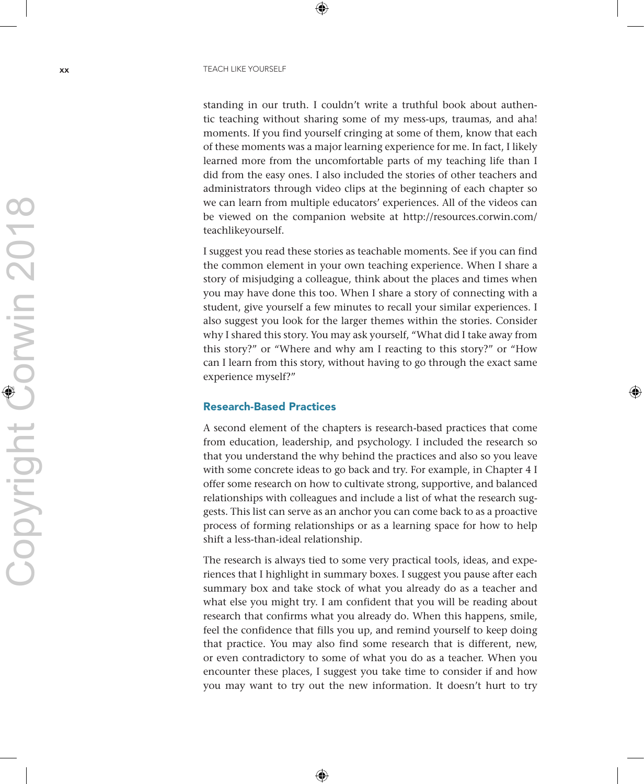xx TEACH LIKE YOURSELF

standing in our truth. I couldn't write a truthful book about authentic teaching without sharing some of my mess-ups, traumas, and aha! moments. If you find yourself cringing at some of them, know that each of these moments was a major learning experience for me. In fact, I likely learned more from the uncomfortable parts of my teaching life than I did from the easy ones. I also included the stories of other teachers and administrators through video clips at the beginning of each chapter so we can learn from multiple educators' experiences. All of the videos can be viewed on the companion website at http://resources.corwin.com/ teachlikeyourself.

 $\bigoplus$ 

I suggest you read these stories as teachable moments. See if you can find the common element in your own teaching experience. When I share a story of misjudging a colleague, think about the places and times when you may have done this too. When I share a story of connecting with a student, give yourself a few minutes to recall your similar experiences. I also suggest you look for the larger themes within the stories. Consider why I shared this story. You may ask yourself, "What did I take away from this story?" or "Where and why am I reacting to this story?" or "How can I learn from this story, without having to go through the exact same experience myself?"

⊕

### Research-Based Practices

A second element of the chapters is research-based practices that come from education, leadership, and psychology. I included the research so that you understand the why behind the practices and also so you leave with some concrete ideas to go back and try. For example, in Chapter 4 I offer some research on how to cultivate strong, supportive, and balanced relationships with colleagues and include a list of what the research suggests. This list can serve as an anchor you can come back to as a proactive process of forming relationships or as a learning space for how to help shift a less-than-ideal relationship.

The research is always tied to some very practical tools, ideas, and experiences that I highlight in summary boxes. I suggest you pause after each summary box and take stock of what you already do as a teacher and what else you might try. I am confident that you will be reading about research that confirms what you already do. When this happens, smile, feel the confidence that fills you up, and remind yourself to keep doing that practice. You may also find some research that is different, new, or even contradictory to some of what you do as a teacher. When you encounter these places, I suggest you take time to consider if and how you may want to try out the new information. It doesn't hurt to try